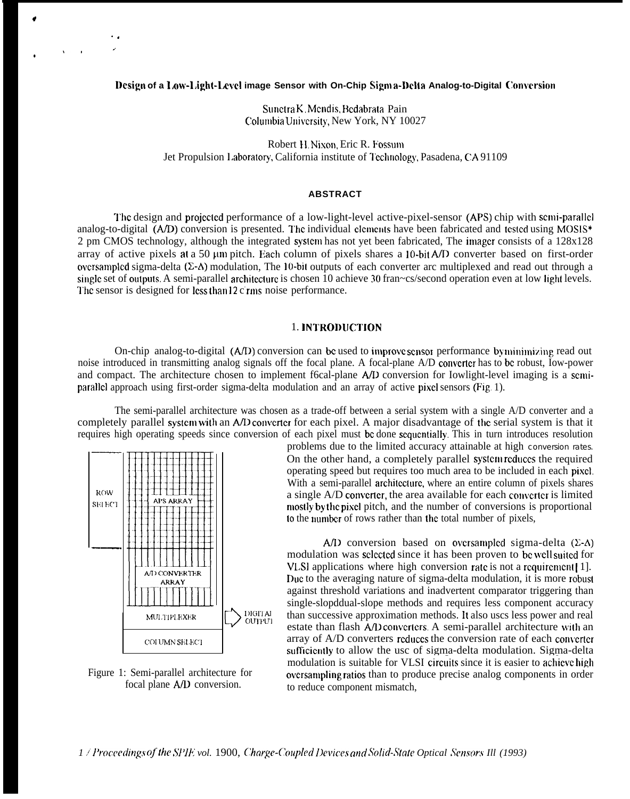## **Design of a I,ow-1,ight-1.mcl image Sensor with On-Chip Sign) a-I)elta Analog-to-Digital Conwrsion**

Sunctra K, Mcndis, Bcdahrata Pain Columbia University, New York, NY 10027

Robert 11, Nixon, Eric R. Fossum Jet Propulsion Laboratory, California institute of Technology, Pasadena, CA 91109

### **ABSTRACT**

'1'hc design and projcctcd performance of a low-light-level active-pixel-sensor (APS) chip with scnri-paral]cl analog-to-digital  $(AD)$  conversion is presented. The individual clements have been fabricated and tested using MOSIS\* 2 pm CMOS technology, although the integrated syslcm has not yet been fabricated, The imagcr consists of a 128x128 array of active pixels at a 50  $\mu$ m pitch. Each column of pixels shares a 10-bit A/D converter based on first-order ovcrsamplcd sigma-delta (Z-A) modulation, The 10-bil outputs of each converter arc multiplexed and read out through a single set of outputs. A semi-parallel architecture is chosen 10 achieve 30 fran~cs/second operation even at low light levels. The sensor is designed for less than 12 c rms noise performance.

### 1. lNTRODIJCTION

On-chip analog-to-digital  $(A/D)$  conversion can be used to improve sensor performance by minimizing read out noise introduced in transmitting analog signals off the focal plane. A focal-plane A/D converter has to be robust, Iow-power and compact. The architecture chosen to implement f6cal-plane  $A/D$  conversion for Iowlight-level imaging is a scmiparallcl approach using first-order sigma-delta modulation and an array of active pixel sensors (Fig, 1).

The semi-parallel architecture was chosen as a trade-off between a serial system with a single A/D converter and a completely parallel system with an A/D converter for each pixel. A major disadvantage of the serial system is that it



\*

●

,.

. .

,

Figure 1: Semi-parallel architecture for focal plane A/D conversion.

requires high operating speeds since conversion of each pixel must be done sequentially. This in turn introduces resolution problems due to the limited accuracy attainable at high conversion rates. problems due to the limited accuracy attainable at high conversion rates. On the other hand, a completely parallel system reduces the required operating speed but requires too much area to be included in each pixel. With a semi-parallel architecture, where an entire column of pixels shares a single  $A/D$  converter, the area available for each converter is limited mostly by the pixel pitch, and the number of conversions is proportional to the Immber of rows rather than the total number of pixels,

> *A/D* conversion based on oversampled sigma-delta  $(\Sigma - A)$ modulation was selected since it has been proven to be well suited for VLSI applications where high conversion rate is not a requirement [1]. Due to the averaging nature of sigma-delta modulation, it is more robust against threshold variations and inadvertent comparator triggering than single-slopddual-slope methods and requires less component accuracy than successive approximation methods. lt also uscs less power and real estate than flash A/D converters. A semi-parallel architecture with an array of A/D converters reduces the conversion rate of each converter sufficiently to allow the usc of sigma-delta modulation. Sigma-delta modulation is suitable for VLSI circuits since it is easier to achieve high ovcrsampling ratios than to produce precise analog components in order to reduce component mismatch,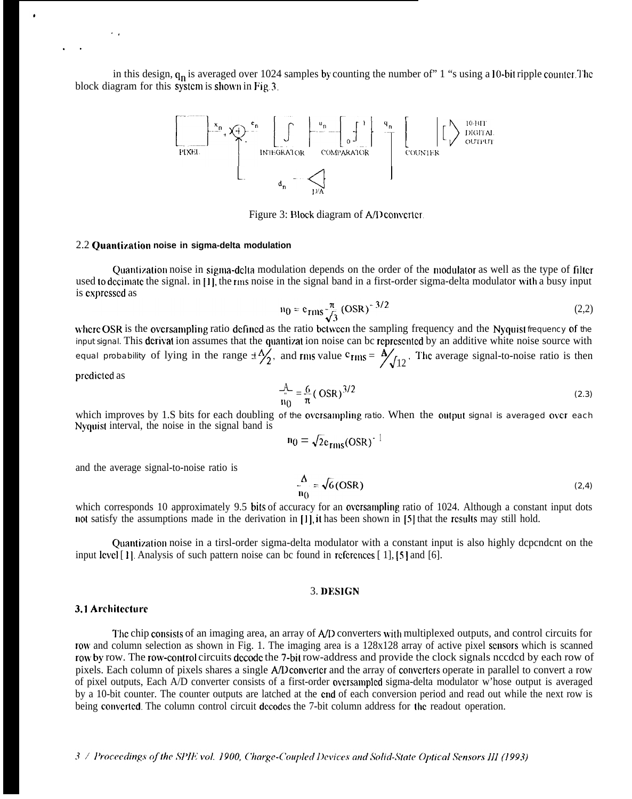in this design,  $q_n$  is averaged over 1024 samples by counting the number of" 1 "s using a 10-bit ripple counter. The block diagram for this system is shown in Fig. 3.



Figure 3: Block diagram of A/D converter.

# 2.2 **Quantization noise in sigma-delta modulation**

Quantization noise in sigma-delta modulation depends on the order of the modulator as well as the type of filter used to decimate the signal. in [1], the rms noise in the signal band in a first-order sigma-delta modulator with a busy input is cxprcsscd as

$$
n_0 = e_{\rm rms} \frac{\pi}{\sqrt{3}} \left( \text{OSR} \right)^{-3/2} \tag{2.2}
$$

where OSR is the oversampling ratio defined as the ratio between the sampling frequency and the Nyquist frequency of the input signal. This dcrivat ion assumes that the quantizat ion noise can bc rcprcsentcd by an additive white noise source with equal probability of lying in the range  $\pm \frac{\Delta}{2}$ , and rms value  $c_{\text{rms}} =$  $\frac{\Delta}{\sqrt{12}}$ . The average signal-to-noise ratio is then

prcdictcd as

,.

. .

$$
\frac{A}{n_0} = \frac{6}{\pi} (\text{OSR})^{3/2}
$$
 (2.3)

which improves by 1.S bits for each doubling of the ovcrsampling ratio. When the output signal is averaged over each Nyquist interval, the noise in the signal band is

$$
n_0 = \sqrt{2}e_{\text{rms}}(OSR)^{-1}
$$

and the average signal-to-noise ratio is

$$
\frac{\Delta}{n_0} = \sqrt{6} \text{ (OSR)} \tag{2.4}
$$

which corresponds 10 approximately 9.5 bits of accuracy for an oversampling ratio of 1024. Although a constant input dots not satisfy the assumptions made in the derivation in  $[1]$ , it has been shown in  $[5]$  that the results may still hold.

Quantization noise in a tirsl-order sigma-delta modulator with a constant input is also highly dependent on the input level [1]. Analysis of such pattern noise can bc found in references [1], [5] and [6].

#### 3. DESIGN

#### 3.1 **Architccturc**

The chip consists of an imaging area, an array of A/D converters with multiplexed outputs, and control circuits for row and column selection as shown in Fig. 1. The imaging area is a 128x128 array of active pixel scnsors which is scanned row by row. The row-control circuits decode the 7-bit row-address and provide the clock signals needed by each row of pixels. Each column of pixels shares a single A/D convcrtcr and the array of coovcrtcrs operate in parallel to convert a row of pixel outputs, Each A/D converter consists of a first-order ovcrsamp!cd sigma-delta modulator w'hose output is averaged by a 10-bit counter. The counter outputs are latched at the cnd of each conversion period and read out while the next row is being converted. The column control circuit decodes the 7-bit column address for the readout operation.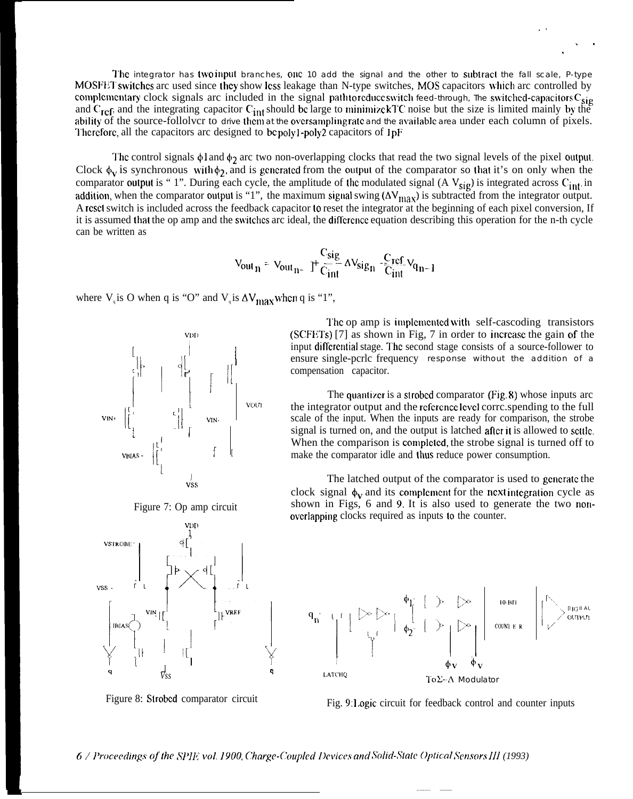The integrator has two input branches, one 10 add the signal and the other to subtract the fall scale, P-type MOSFET switches arc used since they show less leakage than N-type switches, MOS capacitors which arc controlled by complementary clock signals arc included in the signal pathtoreduce switch feed-through, The switched-capacitors  $C_{sig}$ and  $C_{ref}$ , and the integrating capacitor  $C_{int}$  should be large to minimize kTC noise but the size is limited mainly by the ability of the source-follolvcr to drive them at the oversampling rate and the available area under each column of pixels. Therefore, all the capacitors arc designed to be polyl-poly2 capacitors of  $1pF$ 

The control signals  $\phi$ l and  $\phi_2$  arc two non-overlapping clocks that read the two signal levels of the pixel output. Clock  $\phi_V$  is synchronous with  $\phi_2$ , and is generated from the output of the comparator so that it's on only when the comparator output is "1". During each cycle, the amplitude of the modulated signal (A  $V_{sig}$ ) is integrated across C<sub>int</sub>. in addition, when the comparator output is "1", the maximum signal swing  $(\Delta V_{\text{max}})$  is subtracted from the integrator output. A rcsel switch is included across the feedback capacitor 10 reset the integrator at the beginning of each pixel conversion, If it is assumed that the op amp and the switches arc ideal, the difference equation describing this operation for the n-th cycle can be written as

$$
V_{outn} = V_{outn} - J' \frac{C_{sig}}{C_{int}} \Delta V_{sign} - \frac{C_{ref}}{C_{int}} V_{qn-1}
$$

where  $V_q$  is O when q is "O" and  $V_q$  is  $\Delta V_{\text{max}}$  when q is "1",







The op amp is implemented with self-cascoding transistors  $(SCFETs)$  [7] as shown in Fig, 7 in order to increase the gain of the input differential stage. The second stage consists of a source-follower to ensure single-pcrlc frequency response without the addition of a compensation capacitor.

.!

. .

.

The quantizer is a strobed comparator (Fig. 8) whose inputs arc the integrator output and the reference level corrc.spending to the full scale of the input. When the inputs are ready for comparison, the strobe signal is turned on, and the output is latched after it is allowed to settle. When the comparison is completed, the strobe signal is turned off to make the comparator idle and thus reduce power consumption.

The latched output of the comparator is used to gcncratc the clock signal  $\phi_v$  and its complement for the next integration cycle as shown in Figs, 6 and 9. It is also used to generate the two nonovcrlapping clocks required as inputs to the counter.



Figure 8: Strobed comparator circuit<br>Fig. 9: Logic circuit for feedback control and counter inputs

<sup>6</sup> / *IBrocccdings oflhe ,VI'IE vol.* 1900, *Chmge-Coupled I)wiccLv and* ,%lid-kVate *,Vct].vors II] (1993)*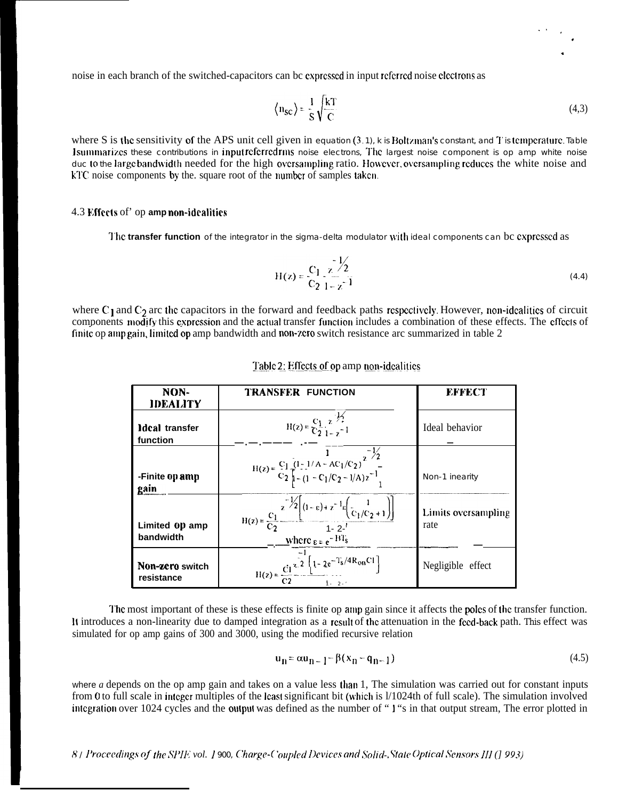noise in each branch of the switched-capacitors can bc expressed in input referred noise electrons as

$$
\langle n_{\rm SC} \rangle = \frac{1}{S} \sqrt{\frac{kT}{C}}
$$
 (4,3)

where S is the sensitivity of the APS unit cell given in equation  $(3.1)$ , k is Boltzman's constant, and T is temperature. Table Isummarizes these contributions in input referredrms noise electrons. The largest noise component is op amp white noise duc to the large bandwidth needed for the high oversampling ratio. However, oversampling reduces the white noise and kTC noise components by the square root of the number of samples taken.

## 4.3 Effects of' op amp non-idealities

The transfer function of the integrator in the sigma-delta modulator with ideal components can bc expressed as

$$
H(z) = \frac{C_1}{C_2} \frac{z}{1 - z^{-1}}
$$
 (4.4)

where  $C_1$  and  $C_2$  arc the capacitors in the forward and feedback paths respectively. However, non-idealities of circuit components modify this expression and the actual transfer function includes a combination of these effects. The effects of finite op ampgain, limited op amp bandwidth and non-zero switch resistance arc summarized in table 2

| NON-<br><b>IDEALITY</b>       | TRANSFER FUNCTION                                                                                                                                                                      | EFFECT                      |
|-------------------------------|----------------------------------------------------------------------------------------------------------------------------------------------------------------------------------------|-----------------------------|
| Ideal transfer<br>function    | $H(z) = \frac{C_1}{C_2} \frac{z^{-\frac{1}{2}}}{1}$                                                                                                                                    | Ideal behavior              |
| -Finite op amp<br>gain        | $H(z) = \frac{C_1}{C_2} \frac{(1 - 1/A - AC_1/C_2)}{1 - (1 - C_1/C_2 - 1/A)z^{-1}}$                                                                                                    | Non-1 inearity              |
| Limited 0p amp<br>bandwidth   | $H(z) = \frac{c_1}{c_2} \frac{z^{-1/2} \left[ (1-\epsilon) + z^{-1} \epsilon \left( \frac{1}{c_1/c_2 + 1} \right) \right]}{1 - z^{-1}}$<br>$\frac{\text{where}}{\epsilon} = e^{-BT_s}$ | Limits oversampling<br>rate |
| Non-zero switch<br>resistance | $H(z) = {c_1 z^2 \left[1 - 2e^{-T_s/4R_{on}C_1}\right]}$<br>$1 - 2 - 1$                                                                                                                | Negligible effect           |

Table 2: Effects of op amp non-idealities

The most important of these is these effects is finite op amp gain since it affects the poles of the transfer function. It introduces a non-linearity due to damped integration as a result of the attenuation in the feed-back path. This effect was simulated for op amp gains of 300 and 3000, using the modified recursive relation

$$
u_{n} = \alpha u_{n-1} - \beta (x_{n} - q_{n-1})
$$
\n(4.5)

where  $a$  depends on the op amp gain and takes on a value less than 1. The simulation was carried out for constant inputs from 0 to full scale in integer multiples of the least significant bit (which is 1/1024th of full scale). The simulation involved integration over 1024 cycles and the output was defined as the number of "1"s in that output stream, The error plotted in

8 / Proceedings of the SPIE vol. 1900, Charge-Coupled Devices and Solid-, State Optical Sensors III (1993)